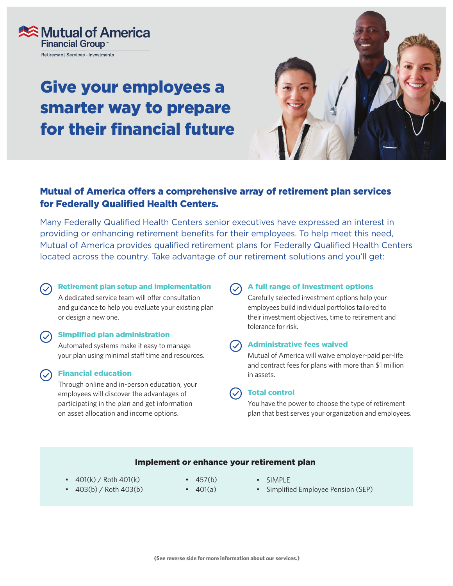

# Give your employees a smarter way to prepare for their financial future



## Mutual of America offers a comprehensive array of retirement plan services for Federally Qualified Health Centers.

Many Federally Qualified Health Centers senior executives have expressed an interest in providing or enhancing retirement benefits for their employees. To help meet this need, Mutual of America provides qualified retirement plans for Federally Qualified Health Centers located across the country. Take advantage of our retirement solutions and you'll get:

### Retirement plan setup and implementation

A dedicated service team will offer consultation and guidance to help you evaluate your existing plan or design a new one.

#### $\bigcirc$  Simplified plan administration

Automated systems make it easy to manage your plan using minimal staff time and resources.

### Financial education

Through online and in-person education, your employees will discover the advantages of participating in the plan and get information on asset allocation and income options.

A full range of investment options

Carefully selected investment options help your employees build individual portfolios tailored to their investment objectives, time to retirement and tolerance for risk.

#### Administrative fees waived

Mutual of America will waive employer-paid per-life and contract fees for plans with more than \$1 million in assets.

### Total control

You have the power to choose the type of retirement plan that best serves your organization and employees.

### Implement or enhance your retirement plan

- $401(k) /$  Roth  $401(k)$
- 403(b) / Roth 403(b)
- 457(b)
- $\cdot$  401(a)
- SIMPLE
- Simplified Employee Pension (SEP)